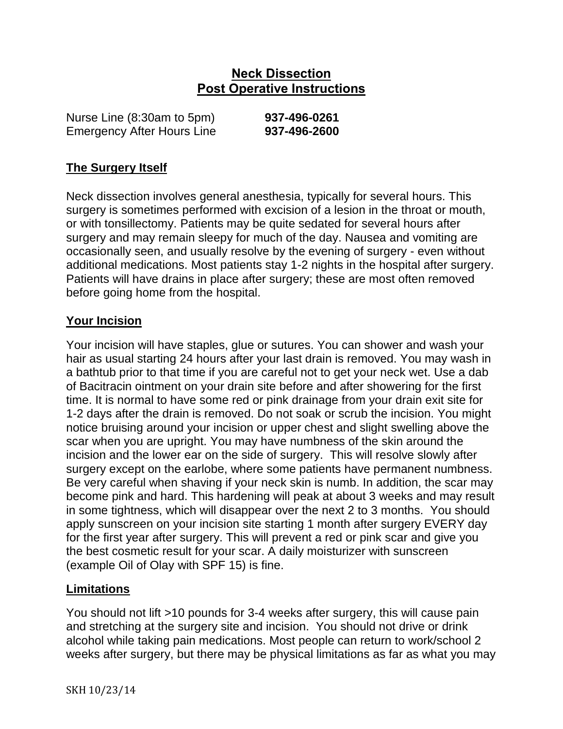## **Neck Dissection Post Operative Instructions**

Nurse Line (8:30am to 5pm) **937-496-0261** Emergency After Hours Line **937-496-2600**

### **The Surgery Itself**

Neck dissection involves general anesthesia, typically for several hours. This surgery is sometimes performed with excision of a lesion in the throat or mouth, or with tonsillectomy. Patients may be quite sedated for several hours after surgery and may remain sleepy for much of the day. Nausea and vomiting are occasionally seen, and usually resolve by the evening of surgery - even without additional medications. Most patients stay 1-2 nights in the hospital after surgery. Patients will have drains in place after surgery; these are most often removed before going home from the hospital.

#### **Your Incision**

Your incision will have staples, glue or sutures. You can shower and wash your hair as usual starting 24 hours after your last drain is removed. You may wash in a bathtub prior to that time if you are careful not to get your neck wet. Use a dab of Bacitracin ointment on your drain site before and after showering for the first time. It is normal to have some red or pink drainage from your drain exit site for 1-2 days after the drain is removed. Do not soak or scrub the incision. You might notice bruising around your incision or upper chest and slight swelling above the scar when you are upright. You may have numbness of the skin around the incision and the lower ear on the side of surgery. This will resolve slowly after surgery except on the earlobe, where some patients have permanent numbness. Be very careful when shaving if your neck skin is numb. In addition, the scar may become pink and hard. This hardening will peak at about 3 weeks and may result in some tightness, which will disappear over the next 2 to 3 months. You should apply sunscreen on your incision site starting 1 month after surgery EVERY day for the first year after surgery. This will prevent a red or pink scar and give you the best cosmetic result for your scar. A daily moisturizer with sunscreen (example Oil of Olay with SPF 15) is fine.

### **Limitations**

You should not lift >10 pounds for 3-4 weeks after surgery, this will cause pain and stretching at the surgery site and incision. You should not drive or drink alcohol while taking pain medications. Most people can return to work/school 2 weeks after surgery, but there may be physical limitations as far as what you may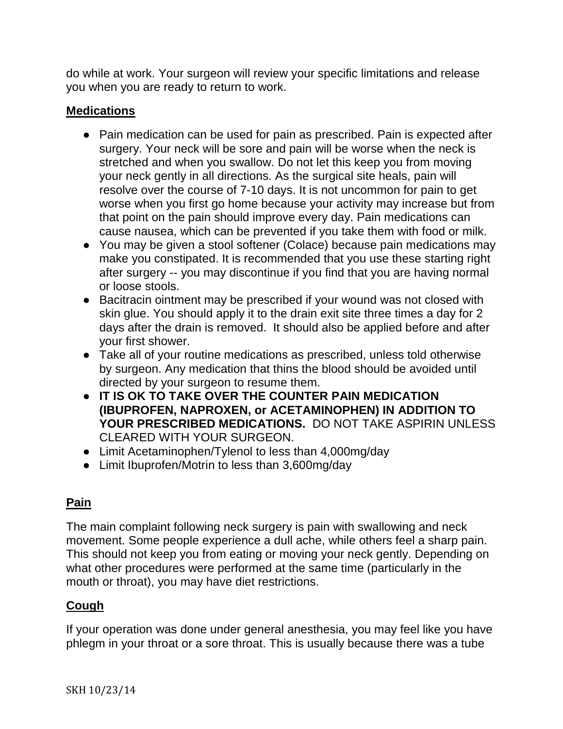do while at work. Your surgeon will review your specific limitations and release you when you are ready to return to work.

### **Medications**

- Pain medication can be used for pain as prescribed. Pain is expected after surgery. Your neck will be sore and pain will be worse when the neck is stretched and when you swallow. Do not let this keep you from moving your neck gently in all directions. As the surgical site heals, pain will resolve over the course of 7-10 days. It is not uncommon for pain to get worse when you first go home because your activity may increase but from that point on the pain should improve every day. Pain medications can cause nausea, which can be prevented if you take them with food or milk.
- You may be given a stool softener (Colace) because pain medications may make you constipated. It is recommended that you use these starting right after surgery -- you may discontinue if you find that you are having normal or loose stools.
- Bacitracin ointment may be prescribed if your wound was not closed with skin glue. You should apply it to the drain exit site three times a day for 2 days after the drain is removed. It should also be applied before and after your first shower.
- Take all of your routine medications as prescribed, unless told otherwise by surgeon. Any medication that thins the blood should be avoided until directed by your surgeon to resume them.
- **IT IS OK TO TAKE OVER THE COUNTER PAIN MEDICATION (IBUPROFEN, NAPROXEN, or ACETAMINOPHEN) IN ADDITION TO YOUR PRESCRIBED MEDICATIONS.** DO NOT TAKE ASPIRIN UNLESS CLEARED WITH YOUR SURGEON.
- Limit Acetaminophen/Tylenol to less than 4,000mg/day
- Limit Ibuprofen/Motrin to less than 3,600mg/day

## **Pain**

The main complaint following neck surgery is pain with swallowing and neck movement. Some people experience a dull ache, while others feel a sharp pain. This should not keep you from eating or moving your neck gently. Depending on what other procedures were performed at the same time (particularly in the mouth or throat), you may have diet restrictions.

## **Cough**

If your operation was done under general anesthesia, you may feel like you have phlegm in your throat or a sore throat. This is usually because there was a tube